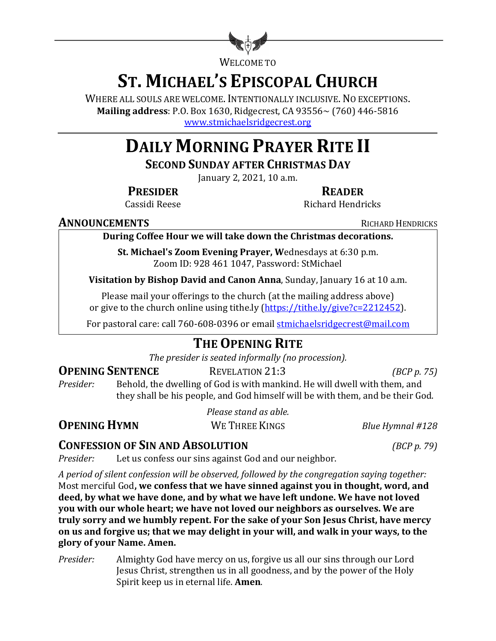

WELCOME TO

# **ST. MICHAEL'S EPISCOPAL CHURCH**

WHERE ALL SOULS ARE WELCOME. INTENTIONALLY INCLUSIVE. NO EXCEPTIONS. **Mailing address**: P.O. Box 1630, Ridgecrest, CA 93556~ (760) 446-5816 www.stmichaelsridgecrest.org

# **DAILY MORNING PRAYER RITE II**

**SECOND SUNDAY AFTER CHRISTMAS DAY**

January 2, 2021, 10 a.m.

#### **PRESIDER READER**

Cassidi Reese **Richard Hendricks** 

**ANNOUNCEMENTS** RICHARD HENDRICKS

During Coffee Hour we will take down the Christmas decorations.

**St. Michael's Zoom Evening Prayer, Wednesdays at 6:30 p.m.** Zoom ID: 928 461 1047, Password: StMichael

**Visitation by Bishop David and Canon Anna**, Sunday, January 16 at 10 a.m.

Please mail your offerings to the church (at the mailing address above) or give to the church online using tithe.ly  $\frac{h}{t}$  (https://tithe.ly/give?c=2212452).

For pastoral care: call 760-608-0396 or email stmichaelsridgecrest@mail.com

# **THE OPENING RITE**

The presider is seated informally (no procession).

|           | <b>OPENING SENTENCE</b> | <b>REVELATION 21:3</b>                                                         | (BCP p. 75) |
|-----------|-------------------------|--------------------------------------------------------------------------------|-------------|
| Presider: |                         | Behold, the dwelling of God is with mankind. He will dwell with them, and      |             |
|           |                         | they shall be his people, and God himself will be with them, and be their God. |             |

|                     | Please stand as able. |                  |
|---------------------|-----------------------|------------------|
| <b>OPENING HYMN</b> | WE THREE KINGS        | Blue Hymnal #128 |

#### **CONFESSION OF SIN AND ABSOLUTION** *(BCP p. 79)*

*Presider:* Let us confess our sins against God and our neighbor.

*A* period of silent confession will be observed, followed by the congregation saying together: Most merciful God, we confess that we have sinned against you in thought, word, and deed, by what we have done, and by what we have left undone. We have not loved **you** with our whole heart; we have not loved our neighbors as ourselves. We are truly sorry and we humbly repent. For the sake of your Son Jesus Christ, have mercy on us and forgive us; that we may delight in your will, and walk in your ways, to the **glory of your Name. Amen.**

*Presider:* Almighty God have mercy on us, forgive us all our sins through our Lord Jesus Christ, strengthen us in all goodness, and by the power of the Holy Spirit keep us in eternal life. **Amen**.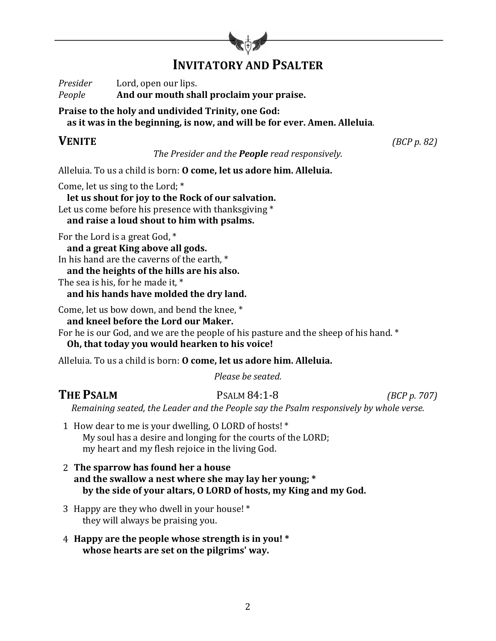

*Presider* Lord, open our lips. *People* **And our mouth shall proclaim your praise.** 

Praise to the holy and undivided Trinity, one God:

as it was in the beginning, is now, and will be for ever. Amen. Alleluia.

#### **VENITE** *(BCP p. 82)*

*The Presider and the People read responsively.* 

Alleluia. To us a child is born: **O come, let us adore him. Alleluia.** 

Come, let us sing to the Lord;  $*$ 

let us shout for joy to the Rock of our salvation. Let us come before his presence with thanksgiving  $*$ and raise a loud shout to him with psalms.

For the Lord is a great God,  $*$ 

and a great King above all gods.

In his hand are the caverns of the earth, \*

and the heights of the hills are his also.

The sea is his, for he made it,  $*$ 

and his hands have molded the dry land.

Come, let us bow down, and bend the knee, \*

and kneel before the Lord our Maker.

For he is our God, and we are the people of his pasture and the sheep of his hand. \*

Oh, that today you would hearken to his voice!

Alleluia. To us a child is born: **O come, let us adore him. Alleluia.** 

*Please be seated.*

#### **THE PSALM** PSALM 84:1-8 *(BCP p. 707)*

*Remaining seated, the Leader and the People say the Psalm responsively by whole verse.* 

- 1 How dear to me is your dwelling, 0 LORD of hosts! \* My soul has a desire and longing for the courts of the LORD; my heart and my flesh rejoice in the living God.
- 2 The sparrow has found her a house and the swallow a nest where she may lay her young; \* by the side of your altars, O LORD of hosts, my King and my God.
- 3 Happy are they who dwell in your house! \* they will always be praising you.
- 4 Happy are the people whose strength is in you! \* whose hearts are set on the pilgrims' way.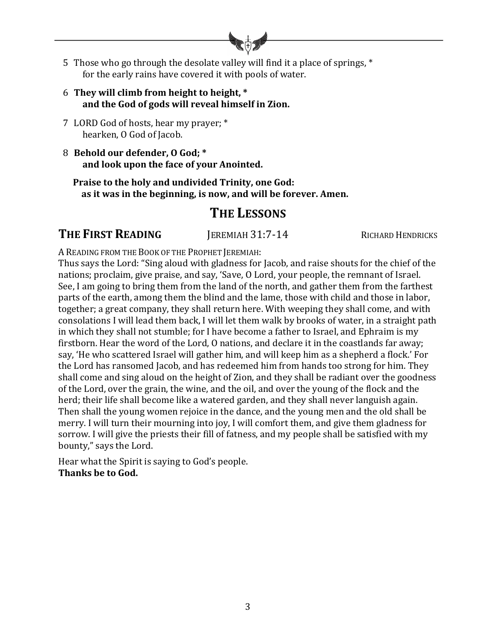- 5 Those who go through the desolate valley will find it a place of springs, \* for the early rains have covered it with pools of water.
- 6 They will climb from height to height, \* and the God of gods will reveal himself in Zion.
- 7 LORD God of hosts, hear my prayer; \* hearken, O God of Jacob.
- 8 **Behold our defender, O God; \*** and look upon the face of your Anointed.

Praise to the holy and undivided Trinity, one God: as it was in the beginning, is now, and will be forever. Amen.

# **THE LESSONS**

#### **THE FIRST READING IEREMIAH 31:7-14** RICHARD HENDRICKS

A READING FROM THE BOOK OF THE PROPHET JEREMIAH:

Thus says the Lord: "Sing aloud with gladness for Jacob, and raise shouts for the chief of the nations; proclaim, give praise, and say, 'Save, O Lord, your people, the remnant of Israel. See, I am going to bring them from the land of the north, and gather them from the farthest parts of the earth, among them the blind and the lame, those with child and those in labor, together; a great company, they shall return here. With weeping they shall come, and with consolations I will lead them back, I will let them walk by brooks of water, in a straight path in which they shall not stumble; for I have become a father to Israel, and Ephraim is my firstborn. Hear the word of the Lord, O nations, and declare it in the coastlands far away; say, 'He who scattered Israel will gather him, and will keep him as a shepherd a flock.' For the Lord has ransomed Jacob, and has redeemed him from hands too strong for him. They shall come and sing aloud on the height of Zion, and they shall be radiant over the goodness of the Lord, over the grain, the wine, and the oil, and over the young of the flock and the herd; their life shall become like a watered garden, and they shall never languish again. Then shall the young women rejoice in the dance, and the young men and the old shall be merry. I will turn their mourning into joy, I will comfort them, and give them gladness for sorrow. I will give the priests their fill of fatness, and my people shall be satisfied with my bounty," says the Lord.

Hear what the Spirit is saying to God's people. **Thanks be to God.**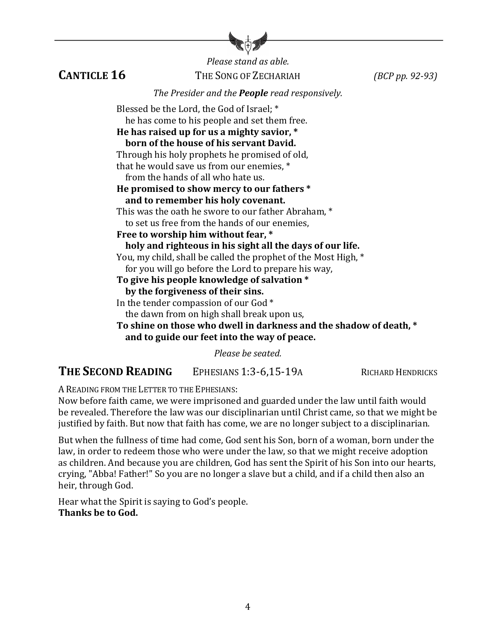*Please stand as able.* **CANTICLE 16** THE SONG OF ZECHARIAH *(BCP pp. 92-93)* 

#### The Presider and the **People** read responsively.

Blessed be the Lord, the God of Israel; \* he has come to his people and set them free. He has raised up for us a mighty savior, \* born of the house of his servant David. Through his holy prophets he promised of old, that he would save us from our enemies,  $*$ from the hands of all who hate us. He promised to show mercy to our fathers \* and to remember his holy covenant. This was the oath he swore to our father Abraham. \* to set us free from the hands of our enemies, Free to worship him without fear, \* holy and righteous in his sight all the days of our life. You, my child, shall be called the prophet of the Most High, \* for you will go before the Lord to prepare his way. To give his people knowledge of salvation \* **by** the forgiveness of their sins. In the tender compassion of our God  $*$ the dawn from on high shall break upon us, To shine on those who dwell in darkness and the shadow of death,  $*$ and to guide our feet into the way of peace.

*Please be seated.*

| <b>THE SECOND READING</b> | EPHESIANS 1:3-6,15-19A | <b>RICHARD HENDRICKS</b> |
|---------------------------|------------------------|--------------------------|
|                           |                        |                          |

A READING FROM THE LETTER TO THE EPHESIANS:

Now before faith came, we were imprisoned and guarded under the law until faith would be revealed. Therefore the law was our disciplinarian until Christ came, so that we might be justified by faith. But now that faith has come, we are no longer subject to a disciplinarian.

But when the fullness of time had come, God sent his Son, born of a woman, born under the law, in order to redeem those who were under the law, so that we might receive adoption as children. And because you are children, God has sent the Spirit of his Son into our hearts, crying, "Abba! Father!" So you are no longer a slave but a child, and if a child then also an heir, through God.

Hear what the Spirit is saying to God's people. **Thanks be to God.**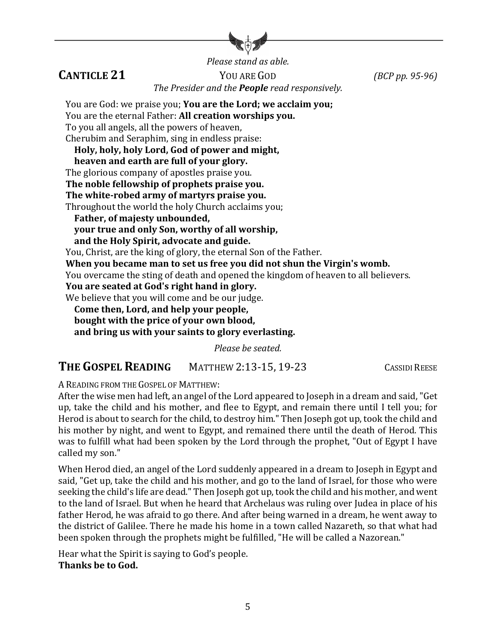

#### *Please stand as able.* **CANTICLE 21** YOU ARE GOD *(BCP pp. 95-96) The Presider and the People read responsively.*

You are God: we praise you; You are the Lord; we acclaim you; You are the eternal Father: All creation worships you. To you all angels, all the powers of heaven, Cherubim and Seraphim, sing in endless praise: Holy, holy, holy Lord, God of power and might, heaven and earth are full of your glory. The glorious company of apostles praise you. The noble fellowship of prophets praise you. The white-robed army of martyrs praise you. Throughout the world the holy Church acclaims you; Father, of majesty unbounded, **your true and only Son, worthy of all worship,** and the Holy Spirit, advocate and guide. You, Christ, are the king of glory, the eternal Son of the Father. When you became man to set us free you did not shun the Virgin's womb. You overcame the sting of death and opened the kingdom of heaven to all believers. **You are seated at God's right hand in glory.** We believe that you will come and be our judge. Come then, Lord, and help your people, bought with the price of your own blood, and bring us with your saints to glory everlasting. *Please be seated.*

**THE GOSPEL READING** MATTHEW 2:13-15, 19-23 CASSIDI REESE

A READING FROM THE GOSPEL OF MATTHEW:

After the wise men had left, an angel of the Lord appeared to Joseph in a dream and said, "Get up, take the child and his mother, and flee to Egypt, and remain there until I tell you; for Herod is about to search for the child, to destroy him." Then Joseph got up, took the child and his mother by night, and went to Egypt, and remained there until the death of Herod. This was to fulfill what had been spoken by the Lord through the prophet, "Out of Egypt I have called my son."

When Herod died, an angel of the Lord suddenly appeared in a dream to Joseph in Egypt and said, "Get up, take the child and his mother, and go to the land of Israel, for those who were seeking the child's life are dead." Then Joseph got up, took the child and his mother, and went to the land of Israel. But when he heard that Archelaus was ruling over Judea in place of his father Herod, he was afraid to go there. And after being warned in a dream, he went away to the district of Galilee. There he made his home in a town called Nazareth, so that what had been spoken through the prophets might be fulfilled, "He will be called a Nazorean."

Hear what the Spirit is saying to God's people. Thanks be to God.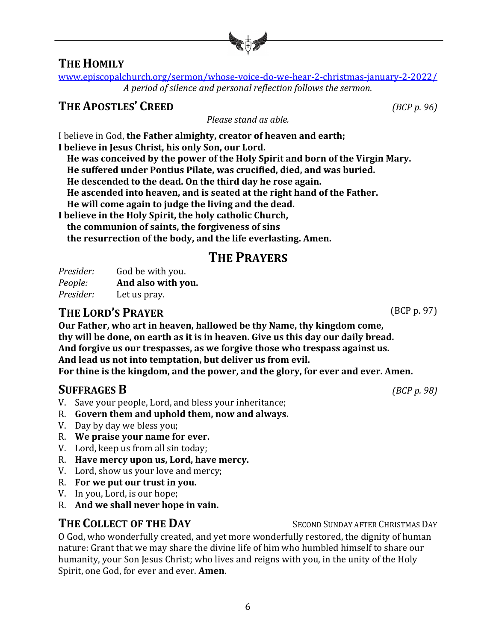

## **THE HOMILY**

www.episcopalchurch.org/sermon/whose-voice-do-we-hear-2-christmas-january-2-2022/ *A period of silence and personal reflection follows the sermon.*

#### **THE APOSTLES' CREED** *(BCP p. 96)*

#### *Please stand as able.*

I believe in God, the Father almighty, creator of heaven and earth;

I believe in Jesus Christ, his only Son, our Lord.

He was conceived by the power of the Holy Spirit and born of the Virgin Mary.

**He suffered under Pontius Pilate, was crucified, died, and was buried.** 

He descended to the dead. On the third day he rose again.

He ascended into heaven, and is seated at the right hand of the Father.

He will come again to judge the living and the dead.

I believe in the Holy Spirit, the holy catholic Church,

 **the communion of saints, the forgiveness of sins**

the resurrection of the body, and the life everlasting. Amen.

# **THE PRAYERS**

*Presider:* God be with you. *People:* **And also with you.** *Presider:* Let us pray.

# **THE LORD'S PRAYER** (BCP p. 97)

Our Father, who art in heaven, hallowed be thy Name, thy kingdom come, thy will be done, on earth as it is in heaven. Give us this day our daily bread. And forgive us our trespasses, as we forgive those who trespass against us. And lead us not into temptation, but deliver us from evil. For thine is the kingdom, and the power, and the glory, for ever and ever. Amen.

#### **SUFFRAGES B** *(BCP p. 98)*

- V. Save your people, Lord, and bless your inheritance;
- R. Govern them and uphold them, now and always.
- V. Day by day we bless you;
- R. We praise your name for ever.
- V. Lord, keep us from all sin today;
- R. Have mercy upon us, Lord, have mercy.
- V. Lord, show us your love and mercy;
- R. For we put our trust in you.
- V. In you, Lord, is our hope;
- R. And we shall never hope in vain.

#### **THE COLLECT OF THE DAY** SECOND SUNDAY AFTER CHRISTMAS DAY

O God, who wonderfully created, and yet more wonderfully restored, the dignity of human nature: Grant that we may share the divine life of him who humbled himself to share our humanity, your Son Jesus Christ; who lives and reigns with you, in the unity of the Holy Spirit, one God, for ever and ever. **Amen**.